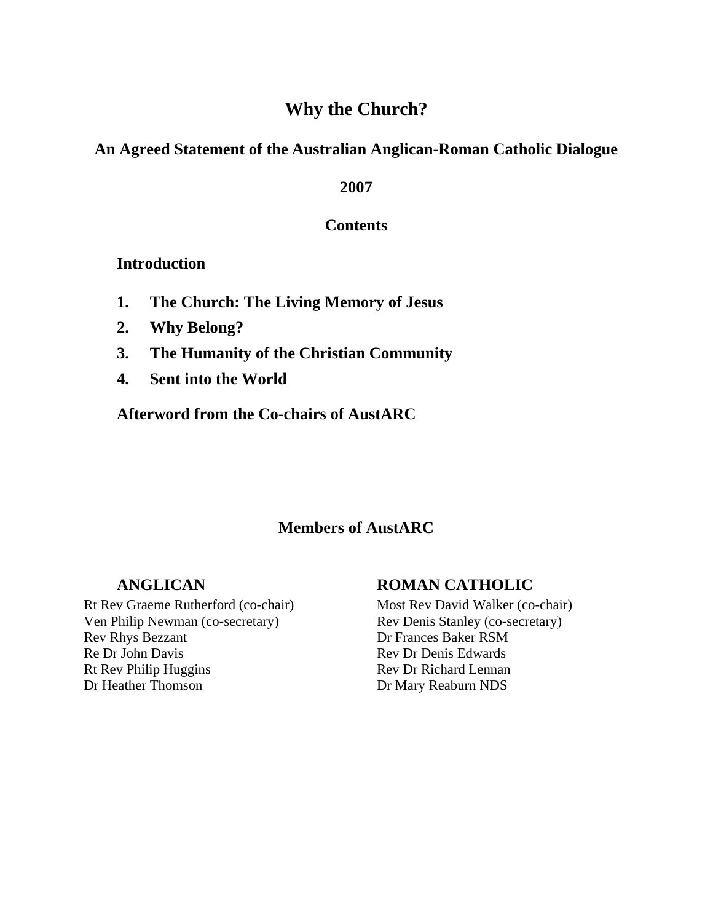# **Why the Church?**

# **An Agreed Statement of the Australian Anglican-Roman Catholic Dialogue**

### **2007**

## **Contents**

## **Introduction**

- **1. The Church: The Living Memory of Jesus**
- **2. Why Belong?**
- **3. The Humanity of the Christian Community**
- **4. Sent into the World**

## **Afterword from the Co-chairs of AustARC**

## **Members of AustARC**

## **ANGLICAN**

### Rt Rev Graeme Rutherford (co-chair) Ven Philip Newman (co-secretary) Rev Rhys Bezzant Re Dr John Davis Rt Rev Philip Huggins Dr Heather Thomson

# **ROMAN CATHOLIC**

Most Rev David Walker (co-chair) Rev Denis Stanley (co-secretary) Dr Frances Baker RSM Rev Dr Denis Edwards Rev Dr Richard Lennan Dr Mary Reaburn NDS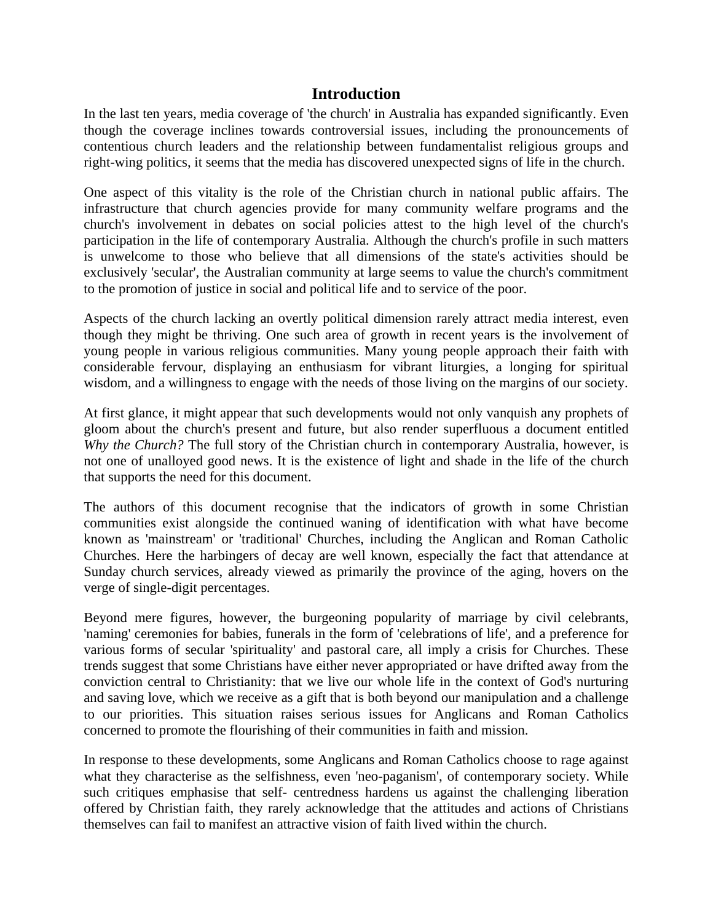## **Introduction**

In the last ten years, media coverage of 'the church' in Australia has expanded significantly. Even though the coverage inclines towards controversial issues, including the pronouncements of contentious church leaders and the relationship between fundamentalist religious groups and right-wing politics, it seems that the media has discovered unexpected signs of life in the church.

One aspect of this vitality is the role of the Christian church in national public affairs. The infrastructure that church agencies provide for many community welfare programs and the church's involvement in debates on social policies attest to the high level of the church's participation in the life of contemporary Australia. Although the church's profile in such matters is unwelcome to those who believe that all dimensions of the state's activities should be exclusively 'secular', the Australian community at large seems to value the church's commitment to the promotion of justice in social and political life and to service of the poor.

Aspects of the church lacking an overtly political dimension rarely attract media interest, even though they might be thriving. One such area of growth in recent years is the involvement of young people in various religious communities. Many young people approach their faith with considerable fervour, displaying an enthusiasm for vibrant liturgies, a longing for spiritual wisdom, and a willingness to engage with the needs of those living on the margins of our society.

At first glance, it might appear that such developments would not only vanquish any prophets of gloom about the church's present and future, but also render superfluous a document entitled *Why the Church?* The full story of the Christian church in contemporary Australia, however, is not one of unalloyed good news. It is the existence of light and shade in the life of the church that supports the need for this document.

The authors of this document recognise that the indicators of growth in some Christian communities exist alongside the continued waning of identification with what have become known as 'mainstream' or 'traditional' Churches, including the Anglican and Roman Catholic Churches. Here the harbingers of decay are well known, especially the fact that attendance at Sunday church services, already viewed as primarily the province of the aging, hovers on the verge of single-digit percentages.

Beyond mere figures, however, the burgeoning popularity of marriage by civil celebrants, 'naming' ceremonies for babies, funerals in the form of 'celebrations of life', and a preference for various forms of secular 'spirituality' and pastoral care, all imply a crisis for Churches. These trends suggest that some Christians have either never appropriated or have drifted away from the conviction central to Christianity: that we live our whole life in the context of God's nurturing and saving love, which we receive as a gift that is both beyond our manipulation and a challenge to our priorities. This situation raises serious issues for Anglicans and Roman Catholics concerned to promote the flourishing of their communities in faith and mission.

In response to these developments, some Anglicans and Roman Catholics choose to rage against what they characterise as the selfishness, even 'neo-paganism', of contemporary society. While such critiques emphasise that self- centredness hardens us against the challenging liberation offered by Christian faith, they rarely acknowledge that the attitudes and actions of Christians themselves can fail to manifest an attractive vision of faith lived within the church.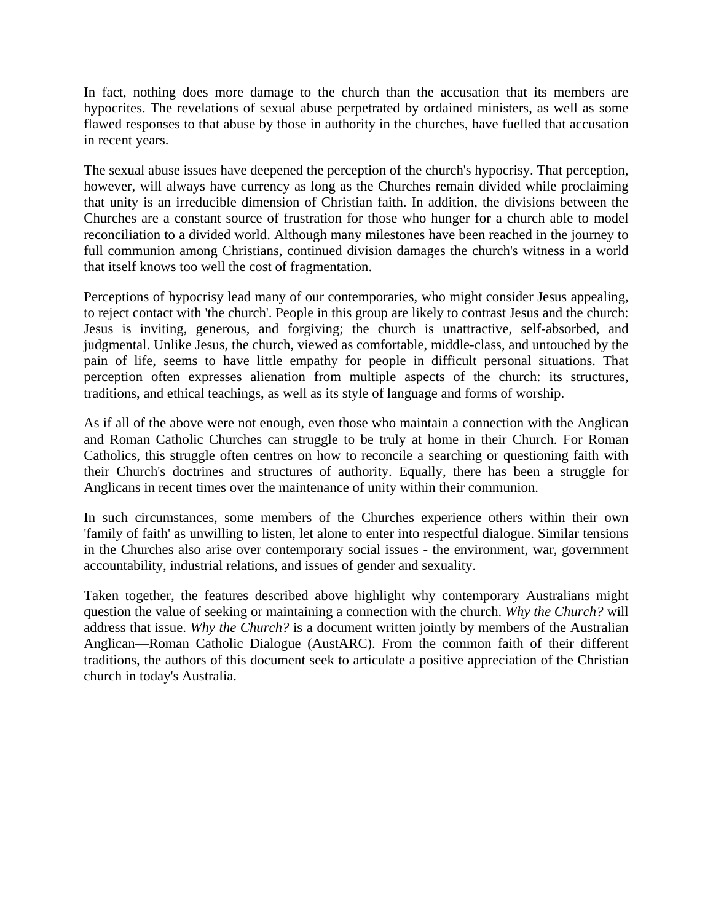In fact, nothing does more damage to the church than the accusation that its members are hypocrites. The revelations of sexual abuse perpetrated by ordained ministers, as well as some flawed responses to that abuse by those in authority in the churches, have fuelled that accusation in recent years.

The sexual abuse issues have deepened the perception of the church's hypocrisy. That perception, however, will always have currency as long as the Churches remain divided while proclaiming that unity is an irreducible dimension of Christian faith. In addition, the divisions between the Churches are a constant source of frustration for those who hunger for a church able to model reconciliation to a divided world. Although many milestones have been reached in the journey to full communion among Christians, continued division damages the church's witness in a world that itself knows too well the cost of fragmentation.

Perceptions of hypocrisy lead many of our contemporaries, who might consider Jesus appealing, to reject contact with 'the church'. People in this group are likely to contrast Jesus and the church: Jesus is inviting, generous, and forgiving; the church is unattractive, self-absorbed, and judgmental. Unlike Jesus, the church, viewed as comfortable, middle-class, and untouched by the pain of life, seems to have little empathy for people in difficult personal situations. That perception often expresses alienation from multiple aspects of the church: its structures, traditions, and ethical teachings, as well as its style of language and forms of worship.

As if all of the above were not enough, even those who maintain a connection with the Anglican and Roman Catholic Churches can struggle to be truly at home in their Church. For Roman Catholics, this struggle often centres on how to reconcile a searching or questioning faith with their Church's doctrines and structures of authority. Equally, there has been a struggle for Anglicans in recent times over the maintenance of unity within their communion.

In such circumstances, some members of the Churches experience others within their own 'family of faith' as unwilling to listen, let alone to enter into respectful dialogue. Similar tensions in the Churches also arise over contemporary social issues - the environment, war, government accountability, industrial relations, and issues of gender and sexuality.

Taken together, the features described above highlight why contemporary Australians might question the value of seeking or maintaining a connection with the church. *Why the Church?* will address that issue. *Why the Church?* is a document written jointly by members of the Australian Anglican—Roman Catholic Dialogue (AustARC). From the common faith of their different traditions, the authors of this document seek to articulate a positive appreciation of the Christian church in today's Australia.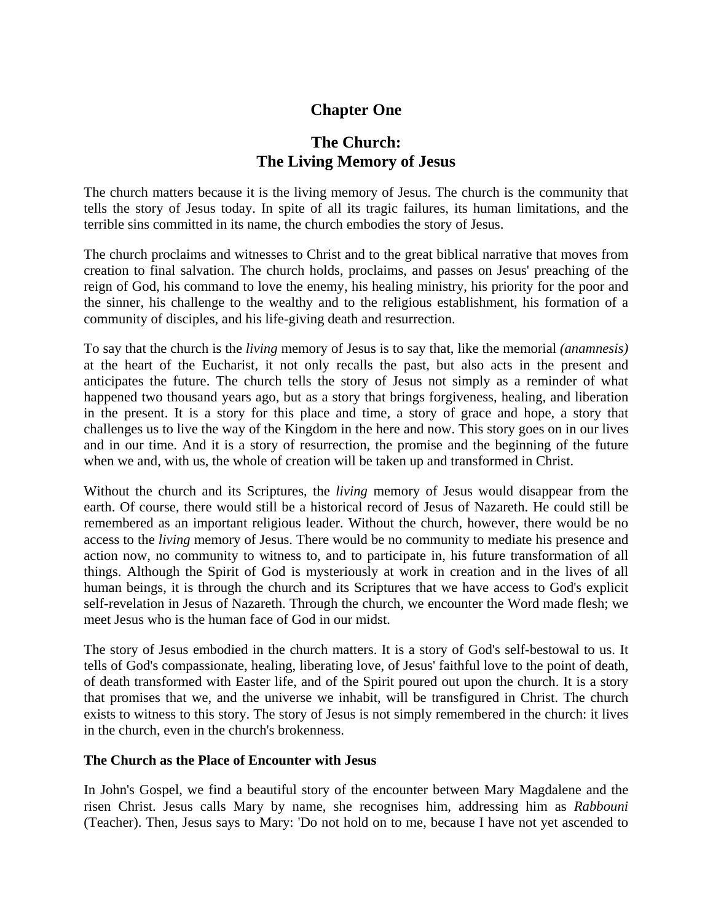# **Chapter One**

# **The Church: The Living Memory of Jesus**

The church matters because it is the living memory of Jesus. The church is the community that tells the story of Jesus today. In spite of all its tragic failures, its human limitations, and the terrible sins committed in its name, the church embodies the story of Jesus.

The church proclaims and witnesses to Christ and to the great biblical narrative that moves from creation to final salvation. The church holds, proclaims, and passes on Jesus' preaching of the reign of God, his command to love the enemy, his healing ministry, his priority for the poor and the sinner, his challenge to the wealthy and to the religious establishment, his formation of a community of disciples, and his life-giving death and resurrection.

To say that the church is the *living* memory of Jesus is to say that, like the memorial *(anamnesis)*  at the heart of the Eucharist, it not only recalls the past, but also acts in the present and anticipates the future. The church tells the story of Jesus not simply as a reminder of what happened two thousand years ago, but as a story that brings forgiveness, healing, and liberation in the present. It is a story for this place and time, a story of grace and hope, a story that challenges us to live the way of the Kingdom in the here and now. This story goes on in our lives and in our time. And it is a story of resurrection, the promise and the beginning of the future when we and, with us, the whole of creation will be taken up and transformed in Christ.

Without the church and its Scriptures, the *living* memory of Jesus would disappear from the earth. Of course, there would still be a historical record of Jesus of Nazareth. He could still be remembered as an important religious leader. Without the church, however, there would be no access to the *living* memory of Jesus. There would be no community to mediate his presence and action now, no community to witness to, and to participate in, his future transformation of all things. Although the Spirit of God is mysteriously at work in creation and in the lives of all human beings, it is through the church and its Scriptures that we have access to God's explicit self-revelation in Jesus of Nazareth. Through the church, we encounter the Word made flesh; we meet Jesus who is the human face of God in our midst.

The story of Jesus embodied in the church matters. It is a story of God's self-bestowal to us. It tells of God's compassionate, healing, liberating love, of Jesus' faithful love to the point of death, of death transformed with Easter life, and of the Spirit poured out upon the church. It is a story that promises that we, and the universe we inhabit, will be transfigured in Christ. The church exists to witness to this story. The story of Jesus is not simply remembered in the church: it lives in the church, even in the church's brokenness.

#### **The Church as the Place of Encounter with Jesus**

In John's Gospel, we find a beautiful story of the encounter between Mary Magdalene and the risen Christ. Jesus calls Mary by name, she recognises him, addressing him as *Rabbouni*  (Teacher). Then, Jesus says to Mary: 'Do not hold on to me, because I have not yet ascended to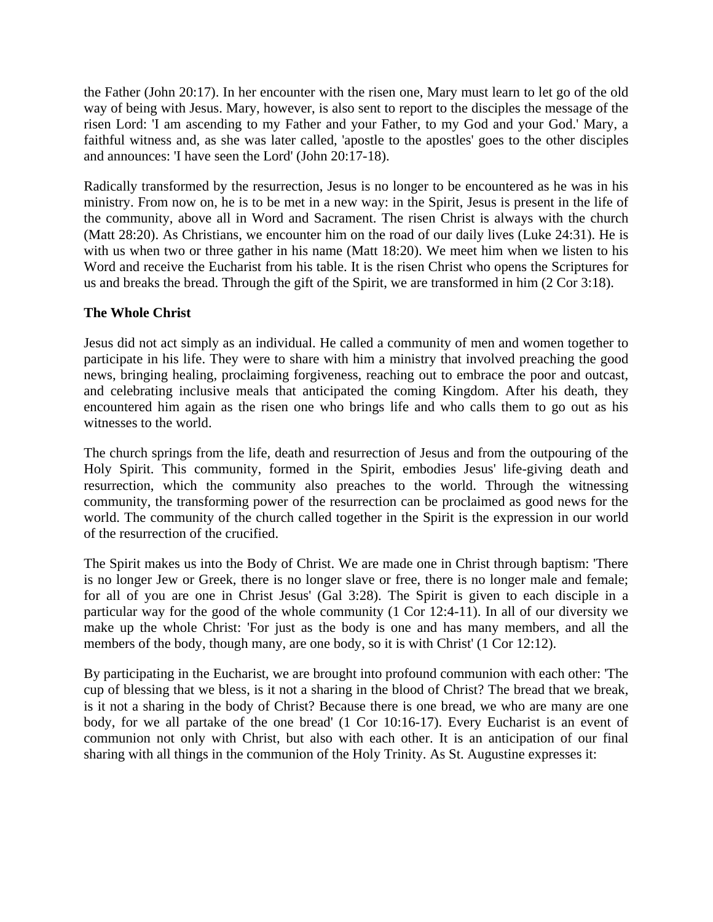the Father (John 20:17). In her encounter with the risen one, Mary must learn to let go of the old way of being with Jesus. Mary, however, is also sent to report to the disciples the message of the risen Lord: 'I am ascending to my Father and your Father, to my God and your God.' Mary, a faithful witness and, as she was later called, 'apostle to the apostles' goes to the other disciples and announces: 'I have seen the Lord' (John 20:17-18).

Radically transformed by the resurrection, Jesus is no longer to be encountered as he was in his ministry. From now on, he is to be met in a new way: in the Spirit, Jesus is present in the life of the community, above all in Word and Sacrament. The risen Christ is always with the church (Matt 28:20). As Christians, we encounter him on the road of our daily lives (Luke 24:31). He is with us when two or three gather in his name (Matt 18:20). We meet him when we listen to his Word and receive the Eucharist from his table. It is the risen Christ who opens the Scriptures for us and breaks the bread. Through the gift of the Spirit, we are transformed in him (2 Cor 3:18).

#### **The Whole Christ**

Jesus did not act simply as an individual. He called a community of men and women together to participate in his life. They were to share with him a ministry that involved preaching the good news, bringing healing, proclaiming forgiveness, reaching out to embrace the poor and outcast, and celebrating inclusive meals that anticipated the coming Kingdom. After his death, they encountered him again as the risen one who brings life and who calls them to go out as his witnesses to the world.

The church springs from the life, death and resurrection of Jesus and from the outpouring of the Holy Spirit. This community, formed in the Spirit, embodies Jesus' life-giving death and resurrection, which the community also preaches to the world. Through the witnessing community, the transforming power of the resurrection can be proclaimed as good news for the world. The community of the church called together in the Spirit is the expression in our world of the resurrection of the crucified.

The Spirit makes us into the Body of Christ. We are made one in Christ through baptism: 'There is no longer Jew or Greek, there is no longer slave or free, there is no longer male and female; for all of you are one in Christ Jesus' (Gal 3:28). The Spirit is given to each disciple in a particular way for the good of the whole community (1 Cor 12:4-11). In all of our diversity we make up the whole Christ: 'For just as the body is one and has many members, and all the members of the body, though many, are one body, so it is with Christ' (1 Cor 12:12).

By participating in the Eucharist, we are brought into profound communion with each other: 'The cup of blessing that we bless, is it not a sharing in the blood of Christ? The bread that we break, is it not a sharing in the body of Christ? Because there is one bread, we who are many are one body, for we all partake of the one bread' (1 Cor 10:16-17). Every Eucharist is an event of communion not only with Christ, but also with each other. It is an anticipation of our final sharing with all things in the communion of the Holy Trinity. As St. Augustine expresses it: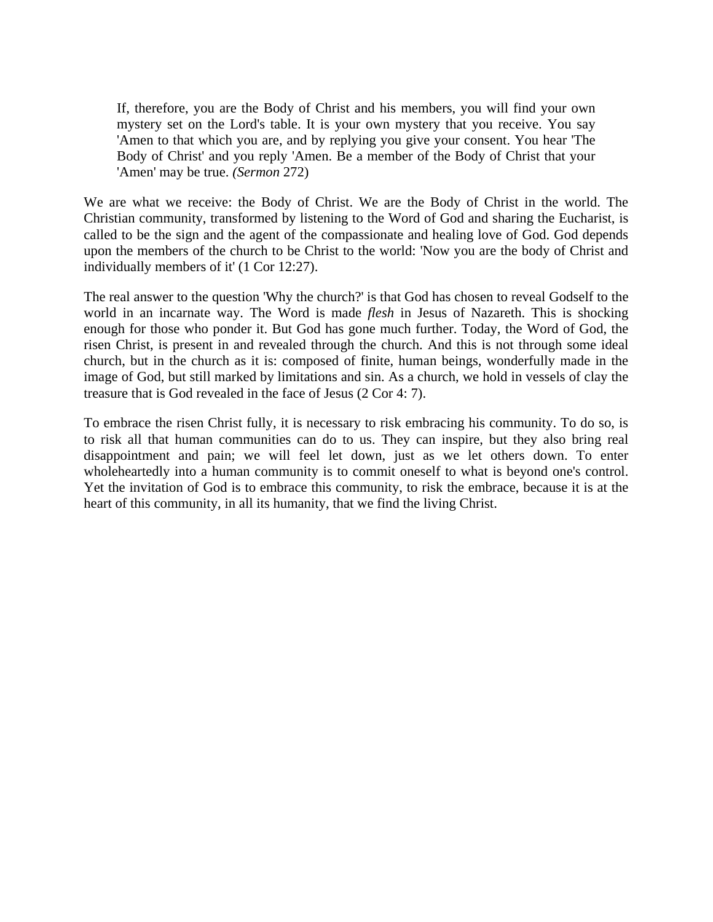If, therefore, you are the Body of Christ and his members, you will find your own mystery set on the Lord's table. It is your own mystery that you receive. You say 'Amen to that which you are, and by replying you give your consent. You hear 'The Body of Christ' and you reply 'Amen. Be a member of the Body of Christ that your 'Amen' may be true. *(Sermon* 272)

We are what we receive: the Body of Christ. We are the Body of Christ in the world. The Christian community, transformed by listening to the Word of God and sharing the Eucharist, is called to be the sign and the agent of the compassionate and healing love of God. God depends upon the members of the church to be Christ to the world: 'Now you are the body of Christ and individually members of it' (1 Cor 12:27).

The real answer to the question 'Why the church?' is that God has chosen to reveal Godself to the world in an incarnate way. The Word is made *flesh* in Jesus of Nazareth. This is shocking enough for those who ponder it. But God has gone much further. Today, the Word of God, the risen Christ, is present in and revealed through the church. And this is not through some ideal church, but in the church as it is: composed of finite, human beings, wonderfully made in the image of God, but still marked by limitations and sin. As a church, we hold in vessels of clay the treasure that is God revealed in the face of Jesus (2 Cor 4: 7).

To embrace the risen Christ fully, it is necessary to risk embracing his community. To do so, is to risk all that human communities can do to us. They can inspire, but they also bring real disappointment and pain; we will feel let down, just as we let others down. To enter wholeheartedly into a human community is to commit oneself to what is beyond one's control. Yet the invitation of God is to embrace this community, to risk the embrace, because it is at the heart of this community, in all its humanity, that we find the living Christ.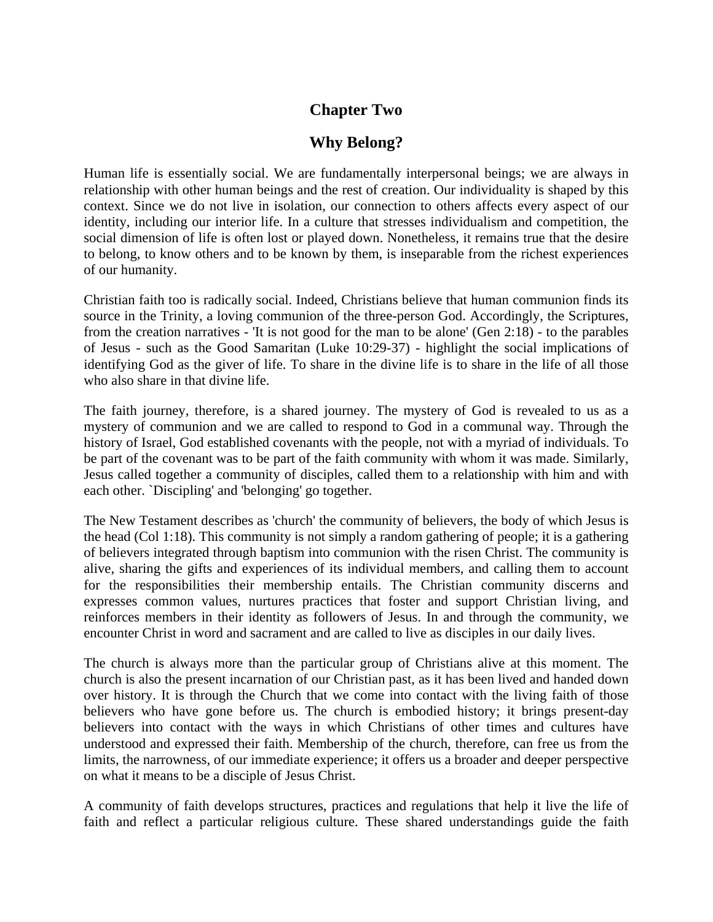# **Chapter Two**

# **Why Belong?**

Human life is essentially social. We are fundamentally interpersonal beings; we are always in relationship with other human beings and the rest of creation. Our individuality is shaped by this context. Since we do not live in isolation, our connection to others affects every aspect of our identity, including our interior life. In a culture that stresses individualism and competition, the social dimension of life is often lost or played down. Nonetheless, it remains true that the desire to belong, to know others and to be known by them, is inseparable from the richest experiences of our humanity.

Christian faith too is radically social. Indeed, Christians believe that human communion finds its source in the Trinity, a loving communion of the three-person God. Accordingly, the Scriptures, from the creation narratives - 'It is not good for the man to be alone' (Gen 2:18) - to the parables of Jesus - such as the Good Samaritan (Luke 10:29-37) - highlight the social implications of identifying God as the giver of life. To share in the divine life is to share in the life of all those who also share in that divine life.

The faith journey, therefore, is a shared journey. The mystery of God is revealed to us as a mystery of communion and we are called to respond to God in a communal way. Through the history of Israel, God established covenants with the people, not with a myriad of individuals. To be part of the covenant was to be part of the faith community with whom it was made. Similarly, Jesus called together a community of disciples, called them to a relationship with him and with each other. `Discipling' and 'belonging' go together.

The New Testament describes as 'church' the community of believers, the body of which Jesus is the head (Col 1:18). This community is not simply a random gathering of people; it is a gathering of believers integrated through baptism into communion with the risen Christ. The community is alive, sharing the gifts and experiences of its individual members, and calling them to account for the responsibilities their membership entails. The Christian community discerns and expresses common values, nurtures practices that foster and support Christian living, and reinforces members in their identity as followers of Jesus. In and through the community, we encounter Christ in word and sacrament and are called to live as disciples in our daily lives.

The church is always more than the particular group of Christians alive at this moment. The church is also the present incarnation of our Christian past, as it has been lived and handed down over history. It is through the Church that we come into contact with the living faith of those believers who have gone before us. The church is embodied history; it brings present-day believers into contact with the ways in which Christians of other times and cultures have understood and expressed their faith. Membership of the church, therefore, can free us from the limits, the narrowness, of our immediate experience; it offers us a broader and deeper perspective on what it means to be a disciple of Jesus Christ.

A community of faith develops structures, practices and regulations that help it live the life of faith and reflect a particular religious culture. These shared understandings guide the faith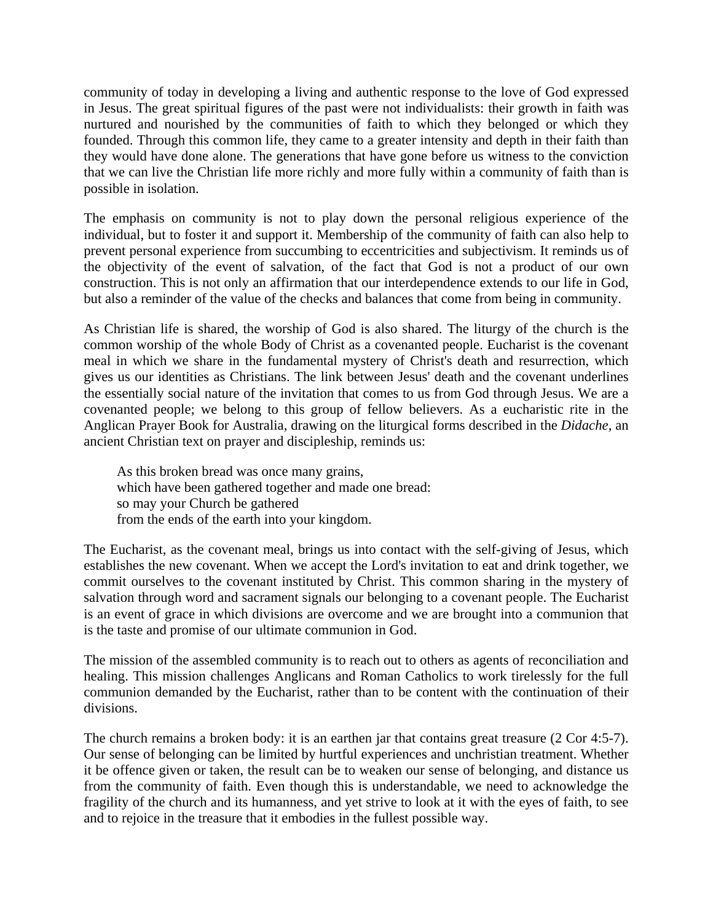community of today in developing a living and authentic response to the love of God expressed in Jesus. The great spiritual figures of the past were not individualists: their growth in faith was nurtured and nourished by the communities of faith to which they belonged or which they founded. Through this common life, they came to a greater intensity and depth in their faith than they would have done alone. The generations that have gone before us witness to the conviction that we can live the Christian life more richly and more fully within a community of faith than is possible in isolation.

The emphasis on community is not to play down the personal religious experience of the individual, but to foster it and support it. Membership of the community of faith can also help to prevent personal experience from succumbing to eccentricities and subjectivism. It reminds us of the objectivity of the event of salvation, of the fact that God is not a product of our own construction. This is not only an affirmation that our interdependence extends to our life in God, but also a reminder of the value of the checks and balances that come from being in community.

As Christian life is shared, the worship of God is also shared. The liturgy of the church is the common worship of the whole Body of Christ as a covenanted people. Eucharist is the covenant meal in which we share in the fundamental mystery of Christ's death and resurrection, which gives us our identities as Christians. The link between Jesus' death and the covenant underlines the essentially social nature of the invitation that comes to us from God through Jesus. We are a covenanted people; we belong to this group of fellow believers. As a eucharistic rite in the Anglican Prayer Book for Australia, drawing on the liturgical forms described in the *Didache,* an ancient Christian text on prayer and discipleship, reminds us:

As this broken bread was once many grains, which have been gathered together and made one bread: so may your Church be gathered from the ends of the earth into your kingdom.

The Eucharist, as the covenant meal, brings us into contact with the self-giving of Jesus, which establishes the new covenant. When we accept the Lord's invitation to eat and drink together, we commit ourselves to the covenant instituted by Christ. This common sharing in the mystery of salvation through word and sacrament signals our belonging to a covenant people. The Eucharist is an event of grace in which divisions are overcome and we are brought into a communion that is the taste and promise of our ultimate communion in God.

The mission of the assembled community is to reach out to others as agents of reconciliation and healing. This mission challenges Anglicans and Roman Catholics to work tirelessly for the full communion demanded by the Eucharist, rather than to be content with the continuation of their divisions.

The church remains a broken body: it is an earthen jar that contains great treasure (2 Cor 4:5-7). Our sense of belonging can be limited by hurtful experiences and unchristian treatment. Whether it be offence given or taken, the result can be to weaken our sense of belonging, and distance us from the community of faith. Even though this is understandable, we need to acknowledge the fragility of the church and its humanness, and yet strive to look at it with the eyes of faith, to see and to rejoice in the treasure that it embodies in the fullest possible way.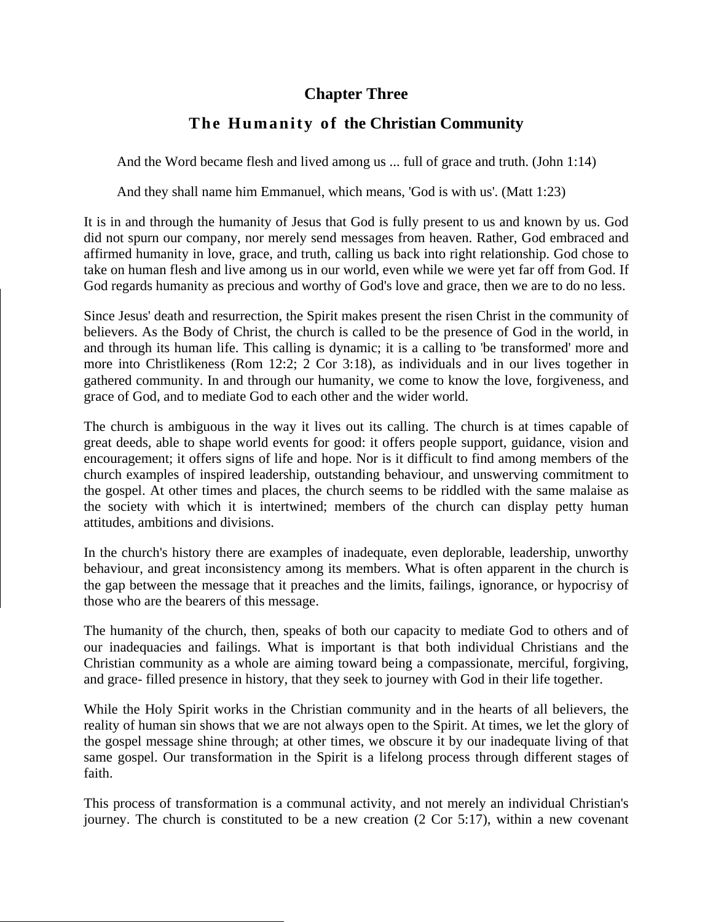## **Chapter Three**

# The Humanity of the Christian Community

And the Word became flesh and lived among us ... full of grace and truth. (John 1:14)

And they shall name him Emmanuel, which means, 'God is with us'. (Matt 1:23)

It is in and through the humanity of Jesus that God is fully present to us and known by us. God did not spurn our company, nor merely send messages from heaven. Rather, God embraced and affirmed humanity in love, grace, and truth, calling us back into right relationship. God chose to take on human flesh and live among us in our world, even while we were yet far off from God. If God regards humanity as precious and worthy of God's love and grace, then we are to do no less.

Since Jesus' death and resurrection, the Spirit makes present the risen Christ in the community of believers. As the Body of Christ, the church is called to be the presence of God in the world, in and through its human life. This calling is dynamic; it is a calling to 'be transformed' more and more into Christlikeness (Rom 12:2; 2 Cor 3:18), as individuals and in our lives together in gathered community. In and through our humanity, we come to know the love, forgiveness, and grace of God, and to mediate God to each other and the wider world.

The church is ambiguous in the way it lives out its calling. The church is at times capable of great deeds, able to shape world events for good: it offers people support, guidance, vision and encouragement; it offers signs of life and hope. Nor is it difficult to find among members of the church examples of inspired leadership, outstanding behaviour, and unswerving commitment to the gospel. At other times and places, the church seems to be riddled with the same malaise as the society with which it is intertwined; members of the church can display petty human attitudes, ambitions and divisions.

In the church's history there are examples of inadequate, even deplorable, leadership, unworthy behaviour, and great inconsistency among its members. What is often apparent in the church is the gap between the message that it preaches and the limits, failings, ignorance, or hypocrisy of those who are the bearers of this message.

The humanity of the church, then, speaks of both our capacity to mediate God to others and of our inadequacies and failings. What is important is that both individual Christians and the Christian community as a whole are aiming toward being a compassionate, merciful, forgiving, and grace- filled presence in history, that they seek to journey with God in their life together.

While the Holy Spirit works in the Christian community and in the hearts of all believers, the reality of human sin shows that we are not always open to the Spirit. At times, we let the glory of the gospel message shine through; at other times, we obscure it by our inadequate living of that same gospel. Our transformation in the Spirit is a lifelong process through different stages of faith.

This process of transformation is a communal activity, and not merely an individual Christian's journey. The church is constituted to be a new creation (2 Cor 5:17), within a new covenant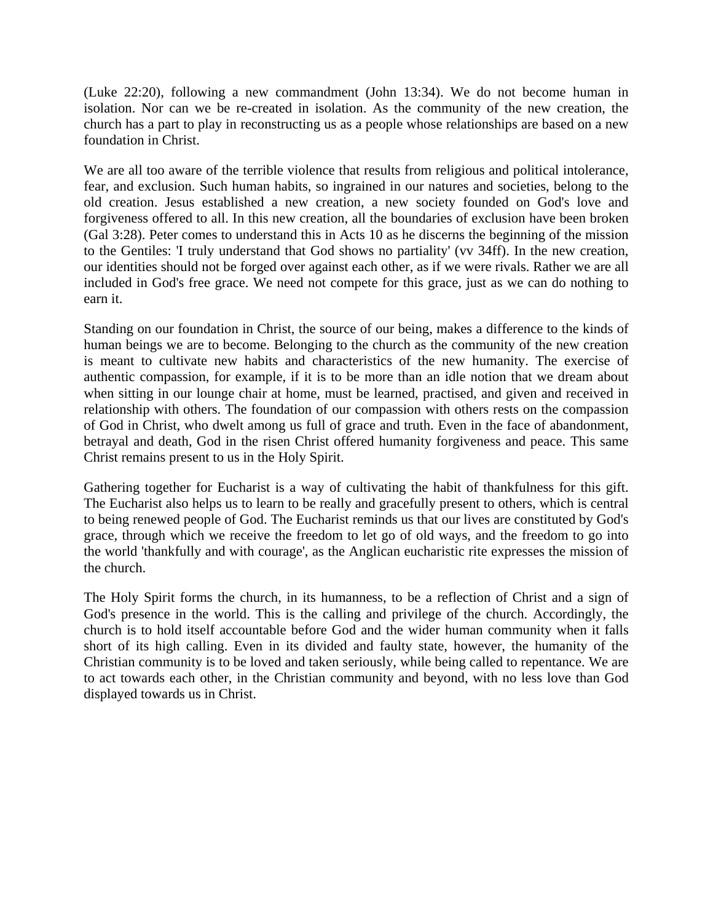(Luke 22:20), following a new commandment (John 13:34). We do not become human in isolation. Nor can we be re-created in isolation. As the community of the new creation, the church has a part to play in reconstructing us as a people whose relationships are based on a new foundation in Christ.

We are all too aware of the terrible violence that results from religious and political intolerance, fear, and exclusion. Such human habits, so ingrained in our natures and societies, belong to the old creation. Jesus established a new creation, a new society founded on God's love and forgiveness offered to all. In this new creation, all the boundaries of exclusion have been broken (Gal 3:28). Peter comes to understand this in Acts 10 as he discerns the beginning of the mission to the Gentiles: 'I truly understand that God shows no partiality' (vv 34ff). In the new creation, our identities should not be forged over against each other, as if we were rivals. Rather we are all included in God's free grace. We need not compete for this grace, just as we can do nothing to earn it.

Standing on our foundation in Christ, the source of our being, makes a difference to the kinds of human beings we are to become. Belonging to the church as the community of the new creation is meant to cultivate new habits and characteristics of the new humanity. The exercise of authentic compassion, for example, if it is to be more than an idle notion that we dream about when sitting in our lounge chair at home, must be learned, practised, and given and received in relationship with others. The foundation of our compassion with others rests on the compassion of God in Christ, who dwelt among us full of grace and truth. Even in the face of abandonment, betrayal and death, God in the risen Christ offered humanity forgiveness and peace. This same Christ remains present to us in the Holy Spirit.

Gathering together for Eucharist is a way of cultivating the habit of thankfulness for this gift. The Eucharist also helps us to learn to be really and gracefully present to others, which is central to being renewed people of God. The Eucharist reminds us that our lives are constituted by God's grace, through which we receive the freedom to let go of old ways, and the freedom to go into the world 'thankfully and with courage', as the Anglican eucharistic rite expresses the mission of the church.

The Holy Spirit forms the church, in its humanness, to be a reflection of Christ and a sign of God's presence in the world. This is the calling and privilege of the church. Accordingly, the church is to hold itself accountable before God and the wider human community when it falls short of its high calling. Even in its divided and faulty state, however, the humanity of the Christian community is to be loved and taken seriously, while being called to repentance. We are to act towards each other, in the Christian community and beyond, with no less love than God displayed towards us in Christ.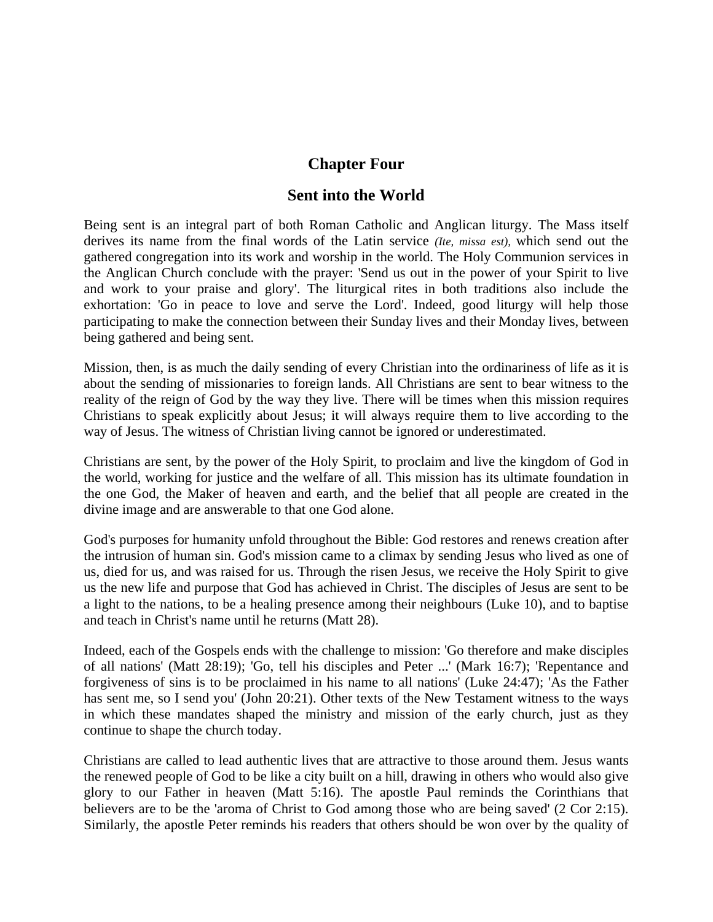## **Chapter Four**

### **Sent into the World**

Being sent is an integral part of both Roman Catholic and Anglican liturgy. The Mass itself derives its name from the final words of the Latin service *(Ite, missa est),* which send out the gathered congregation into its work and worship in the world. The Holy Communion services in the Anglican Church conclude with the prayer: 'Send us out in the power of your Spirit to live and work to your praise and glory'. The liturgical rites in both traditions also include the exhortation: 'Go in peace to love and serve the Lord'. Indeed, good liturgy will help those participating to make the connection between their Sunday lives and their Monday lives, between being gathered and being sent.

Mission, then, is as much the daily sending of every Christian into the ordinariness of life as it is about the sending of missionaries to foreign lands. All Christians are sent to bear witness to the reality of the reign of God by the way they live. There will be times when this mission requires Christians to speak explicitly about Jesus; it will always require them to live according to the way of Jesus. The witness of Christian living cannot be ignored or underestimated.

Christians are sent, by the power of the Holy Spirit, to proclaim and live the kingdom of God in the world, working for justice and the welfare of all. This mission has its ultimate foundation in the one God, the Maker of heaven and earth, and the belief that all people are created in the divine image and are answerable to that one God alone.

God's purposes for humanity unfold throughout the Bible: God restores and renews creation after the intrusion of human sin. God's mission came to a climax by sending Jesus who lived as one of us, died for us, and was raised for us. Through the risen Jesus, we receive the Holy Spirit to give us the new life and purpose that God has achieved in Christ. The disciples of Jesus are sent to be a light to the nations, to be a healing presence among their neighbours (Luke 10), and to baptise and teach in Christ's name until he returns (Matt 28).

Indeed, each of the Gospels ends with the challenge to mission: 'Go therefore and make disciples of all nations' (Matt 28:19); 'Go, tell his disciples and Peter ...' (Mark 16:7); 'Repentance and forgiveness of sins is to be proclaimed in his name to all nations' (Luke 24:47); 'As the Father has sent me, so I send you' (John 20:21). Other texts of the New Testament witness to the ways in which these mandates shaped the ministry and mission of the early church, just as they continue to shape the church today.

Christians are called to lead authentic lives that are attractive to those around them. Jesus wants the renewed people of God to be like a city built on a hill, drawing in others who would also give glory to our Father in heaven (Matt 5:16). The apostle Paul reminds the Corinthians that believers are to be the 'aroma of Christ to God among those who are being saved' (2 Cor 2:15). Similarly, the apostle Peter reminds his readers that others should be won over by the quality of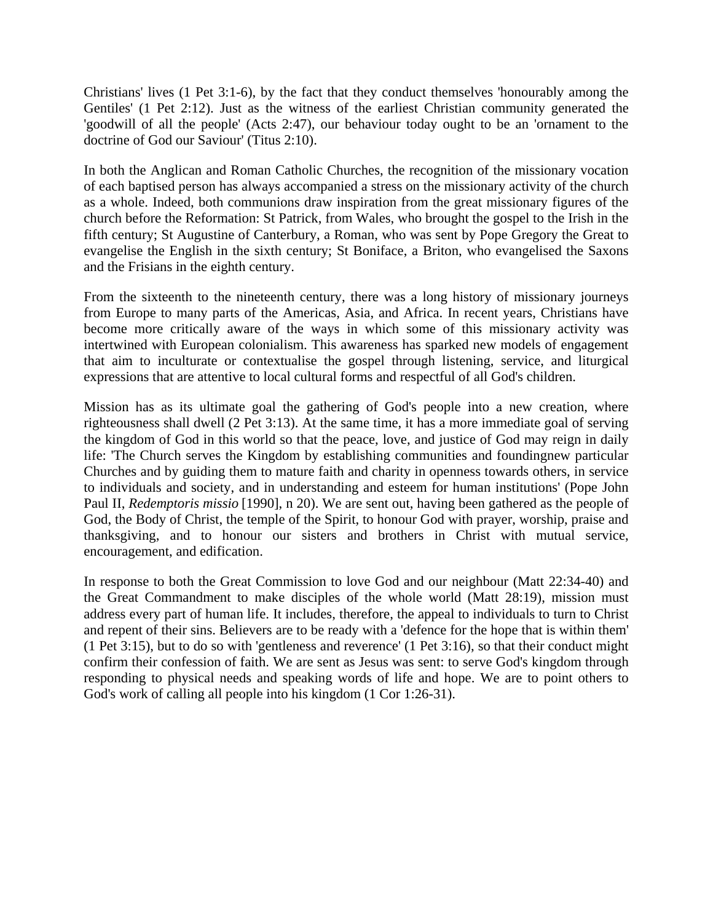Christians' lives (1 Pet 3:1-6), by the fact that they conduct themselves 'honourably among the Gentiles' (1 Pet 2:12). Just as the witness of the earliest Christian community generated the 'goodwill of all the people' (Acts 2:47), our behaviour today ought to be an 'ornament to the doctrine of God our Saviour' (Titus 2:10).

In both the Anglican and Roman Catholic Churches, the recognition of the missionary vocation of each baptised person has always accompanied a stress on the missionary activity of the church as a whole. Indeed, both communions draw inspiration from the great missionary figures of the church before the Reformation: St Patrick, from Wales, who brought the gospel to the Irish in the fifth century; St Augustine of Canterbury, a Roman, who was sent by Pope Gregory the Great to evangelise the English in the sixth century; St Boniface, a Briton, who evangelised the Saxons and the Frisians in the eighth century.

From the sixteenth to the nineteenth century, there was a long history of missionary journeys from Europe to many parts of the Americas, Asia, and Africa. In recent years, Christians have become more critically aware of the ways in which some of this missionary activity was intertwined with European colonialism. This awareness has sparked new models of engagement that aim to inculturate or contextualise the gospel through listening, service, and liturgical expressions that are attentive to local cultural forms and respectful of all God's children.

Mission has as its ultimate goal the gathering of God's people into a new creation, where righteousness shall dwell (2 Pet 3:13). At the same time, it has a more immediate goal of serving the kingdom of God in this world so that the peace, love, and justice of God may reign in daily life: 'The Church serves the Kingdom by establishing communities and foundingnew particular Churches and by guiding them to mature faith and charity in openness towards others, in service to individuals and society, and in understanding and esteem for human institutions' (Pope John Paul II, *Redemptoris missio* [1990], n 20). We are sent out, having been gathered as the people of God, the Body of Christ, the temple of the Spirit, to honour God with prayer, worship, praise and thanksgiving, and to honour our sisters and brothers in Christ with mutual service, encouragement, and edification.

In response to both the Great Commission to love God and our neighbour (Matt 22:34-40) and the Great Commandment to make disciples of the whole world (Matt 28:19), mission must address every part of human life. It includes, therefore, the appeal to individuals to turn to Christ and repent of their sins. Believers are to be ready with a 'defence for the hope that is within them' (1 Pet 3:15), but to do so with 'gentleness and reverence' (1 Pet 3:16), so that their conduct might confirm their confession of faith. We are sent as Jesus was sent: to serve God's kingdom through responding to physical needs and speaking words of life and hope. We are to point others to God's work of calling all people into his kingdom (1 Cor 1:26-31).